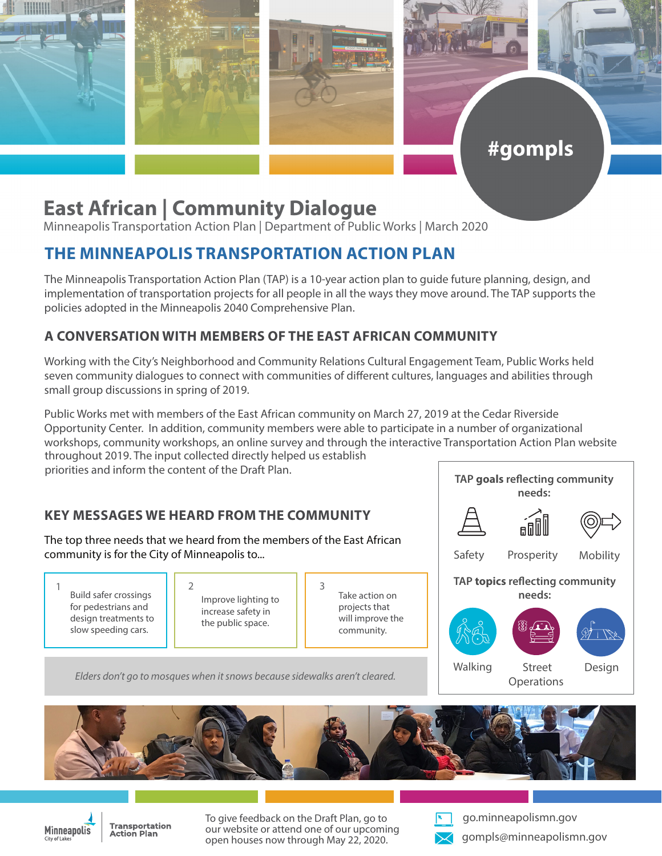

# **East African | Community Dialogue**

Minneapolis Transportation Action Plan | Department of Public Works | March 2020

## **THE MINNEAPOLIS TRANSPORTATION ACTION PLAN**

The Minneapolis Transportation Action Plan (TAP) is a 10-year action plan to guide future planning, design, and implementation of transportation projects for all people in all the ways they move around. The TAP supports the policies adopted in the Minneapolis 2040 Comprehensive Plan.

### **A CONVERSATION WITH MEMBERS OF THE EAST AFRICAN COMMUNITY**

Working with the City's Neighborhood and Community Relations Cultural Engagement Team, Public Works held seven community dialogues to connect with communities of different cultures, languages and abilities through small group discussions in spring of 2019.

Public Works met with members of the East African community on March 27, 2019 at the Cedar Riverside Opportunity Center. In addition, community members were able to participate in a number of organizational workshops, community workshops, an online survey and through the interactive Transportation Action Plan website throughout 2019. The input collected directly helped us establish priorities and inform the content of the Draft Plan.

### **KEY MESSAGES WE HEARD FROM THE COMMUNITY**

The top three needs that we heard from the members of the East African community is for the City of Minneapolis to...

Build safer crossings for pedestrians and design treatments to slow speeding cars.  $1 \t 3$ 

Improve lighting to increase safety in the public space.

Take action on projects that will improve the community.



#gompls

*Elders don't go to mosques when it snows because sidewalks aren't cleared.*





**Transportation Action Plan** 

To give feedback on the Draft Plan, go to our website or attend one of our upcoming open houses now through May 22, 2020.



go.minneapolismn.gov gompls@minneapolismn.gov